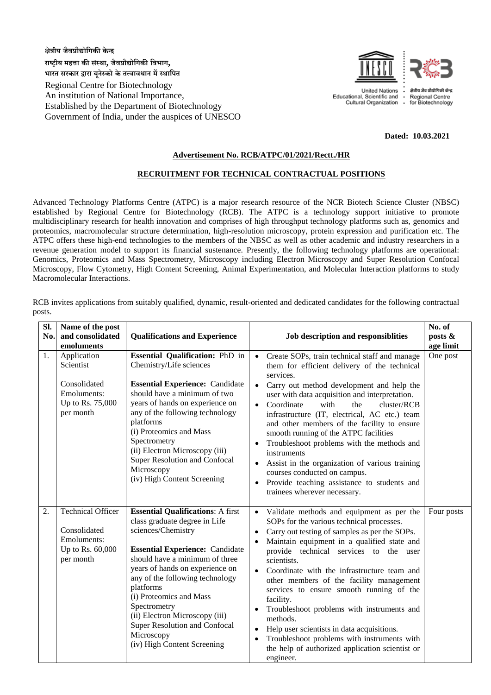**क्षेत्रीय जैवप्रौद्योगिकी के न्द्र राष्ट्रीय महत्ता की संस्था, जैवप्रौद्योगिकी गवभाि, भारत सरकार द्वारा यूनेस्को के तत्वावधान मेंस्थागित**

Regional Centre for Biotechnology An institution of National Importance, Established by the Department of Biotechnology Government of India, under the auspices of UNESCO



**United Nations** Educational, Scientific and Cultural Organization Regional Centre for Biotechnology

## **Dated: 10.03.2021**

## **Advertisement No. RCB/ATPC/01/2021/Rectt./HR**

## **RECRUITMENT FOR TECHNICAL CONTRACTUAL POSITIONS**

Advanced Technology Platforms Centre (ATPC) is a major research resource of the NCR Biotech Science Cluster (NBSC) established by Regional Centre for Biotechnology (RCB). The ATPC is a technology support initiative to promote multidisciplinary research for health innovation and comprises of high throughput technology platforms such as, genomics and proteomics, macromolecular structure determination, high-resolution microscopy, protein expression and purification etc. The ATPC offers these high-end technologies to the members of the NBSC as well as other academic and industry researchers in a revenue generation model to support its financial sustenance. Presently, the following technology platforms are operational: Genomics, Proteomics and Mass Spectrometry, Microscopy including Electron Microscopy and Super Resolution Confocal Microscopy, Flow Cytometry, High Content Screening, Animal Experimentation, and Molecular Interaction platforms to study Macromolecular Interactions.

**Sl. No. Name of the post and consolidated emoluments Qualifications and Experience Job description and responsiblities No. of posts & age limit** 1. Application Scientist Consolidated Emoluments: Up to Rs. 75,000 per month **Essential Qualification:** PhD in Chemistry/Life sciences **Essential Experience:** Candidate should have a minimum of two years of hands on experience on any of the following technology platforms (i) Proteomics and Mass Spectrometry (ii) Electron Microscopy (iii) Super Resolution and Confocal **Microscopy** (iv) High Content Screening Create SOPs, train technical staff and manage them for efficient delivery of the technical services. Carry out method development and help the user with data acquisition and interpretation. • Coordinate with the cluster/RCB infrastructure (IT, electrical, AC etc.) team and other members of the facility to ensure smooth running of the ATPC facilities Troubleshoot problems with the methods and instruments Assist in the organization of various training courses conducted on campus. Provide teaching assistance to students and trainees wherever necessary. One post 2. Technical Officer Consolidated Emoluments: Up to Rs. 60,000 per month **Essential Qualifications**: A first class graduate degree in Life sciences/Chemistry **Essential Experience:** Candidate should have a minimum of three years of hands on experience on any of the following technology platforms (i) Proteomics and Mass Spectrometry (ii) Electron Microscopy (iii) Super Resolution and Confocal **Microscopy** (iv) High Content Screening Validate methods and equipment as per the SOPs for the various technical processes. Carry out testing of samples as per the SOPs. Maintain equipment in a qualified state and provide technical services to the user scientists. Coordinate with the infrastructure team and other members of the facility management services to ensure smooth running of the facility. Troubleshoot problems with instruments and methods. Help user scientists in data acquisitions. Troubleshoot problems with instruments with the help of authorized application scientist or engineer. Four posts

RCB invites applications from suitably qualified, dynamic, result-oriented and dedicated candidates for the following contractual posts.